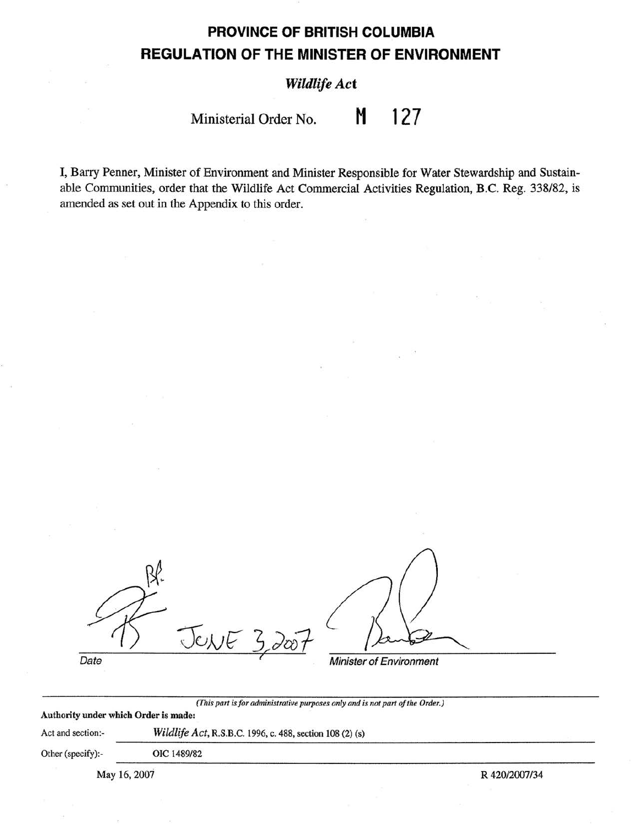# **PROVINCE OF BRITISH COLUMBIA REGULATION OF THE MINISTER OF ENVIRONMENT**

## *Wildlife Act*

Ministerial Order No. **M 127** 

I, Barry Penner, Minister of Environment and Minister Responsible for Water Stewardship and Sustainable Communities, order that the Wildlife Act Commercial Activities Regulation, B.C. Reg. 338/82, is amended as set out in the Appendix to this order.

| Date | Minister of Environment |
|------|-------------------------|

*(This part is for administrative purposes only and is not part of the Order.)* 

### Authority under **which Order is made:**

Act and section:- *Wildlife Act,* R.S.B.C. 1996, c. 488, section 108 (2) (s)

Other (specify):- OIC 1489/82

May 16, 2007 R 420/2007/34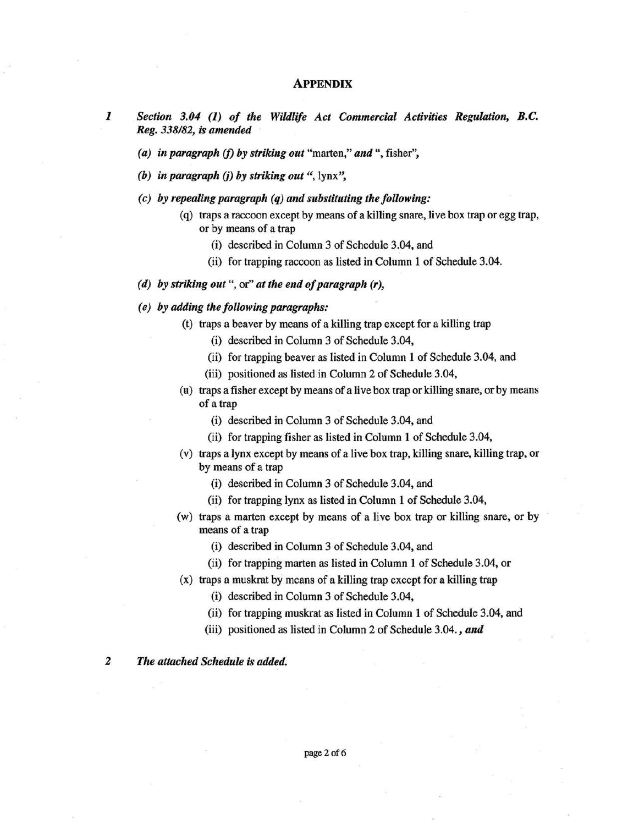#### **APPENDIX**

- *I Section 3.04 (I) of the Wildlife Act Commercial Activities Regulation, B.C. Reg. 338/82, is amended* 
	- *(a) in paragraph (f) by striking out* "marten," *and",* fisher",
	- *(b) in paragraph* (j) *by striking out* ", lynx",
	- *( c) by repealing paragraph ( q) and substituting the following:* 
		- (q) traps a raccoon except by means of a killing snare, live box trap or egg trap, or by means of a trap
			- (i) described in Column 3 of Schedule 3.04, and
			- (ii) for trapping raccoon as listed in Column 1 of Schedule 3.04.

#### *(d)* **by** *striking out",* or" *at the end of paragraph (r),*

#### *( e) by adding the following paragraphs:*

- (t) traps a beaver by means of a killing trap except for a killing trap
	- (i) described in Column 3 of Schedule 3.04,
	- (ii) for trapping beaver as listed in Column 1 of Schedule 3.04, and
	- (iii) positioned as listed in Column 2 of Schedule 3.04,
	- (u) traps a fisher except by means of alive box trap or killing snare, orby means of a trap
		- (i) described in Column 3 of Schedule 3.04, and
		- (ii) for trapping fisher as listed in Column 1 of Schedule 3.04,
	- (v) traps a lynx except by means of a live box trap, killing snare, killing trap, or by means of a trap
		- (i) described in Column 3 of Schedule 3.04, and
		- (ii) for trapping lynx as listed in Column 1 of Schedule 3.04,
- -(w) traps a marten except by means of a live box trap or killing snare, or by means of a trap
	- (i) described in Column 3 of Schedule 3.04, and
	- (ii) for trapping marten as listed in Column 1 of Schedule 3.04, or
- (x) traps a muskrat by means of a killing trap except for a killing trap
	- (i) described in Column 3 of Schedule 3.04,
	- (ii) for trapping muskrat as listed in Column 1 of Schedule 3.04, and
	- (iii) positioned as listed in Column 2 of Schedule 3.04. , *and*

### 2 *The attached Schedule is added.*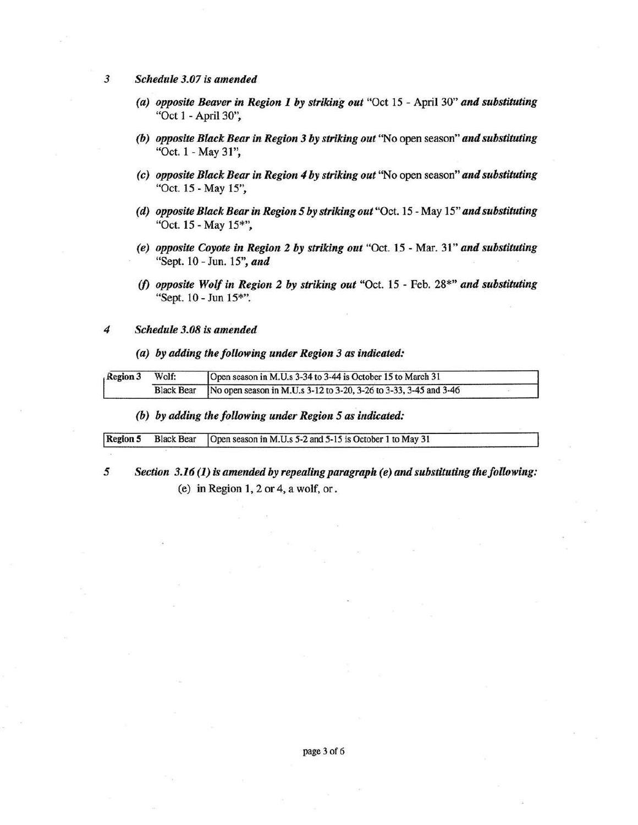*3 Schedule 3. 07 is amended* 

- *(a) opposite Beaver in Region I by striking out* "Oct 15 April 30" *and substituting*  "Oct 1 - April 30",
- *(b) opposite Black Bear in Region 3 by striking out* "No open season" *and substituting*  "Oct.  $1 - May 31$ ",
- (c) *opposite Black Bear in Region 4 by striking out* "No open season" *and substituting*  "Oct. 15 - May 15",
- *(d) opposite Black Bear in Region 5 by striking out* "Oct. 15 May 15" *and substituting*  "Oct. 15 - May 15\*",
- *(e). opposite Coyote in Region* **2** *by striking out* "Oct. 15 Mar. 31" *and substituting*  "Sept.10 - Jun. 15", *and*
- *(f) opposite Wolf in Region 2 by striking out* "Oct. 15 Feb. 28\*" *and substituting*  "Sept. 10 - Jun 15\*''.
- *4 Schedule 3.08 is amended* 
	- *( a) by adding the following under Region 3 as indicated:*

| Region 3 | Wolf: | Open season in M.U.s 3-34 to 3-44 is October 15 to March 31                    |  |
|----------|-------|--------------------------------------------------------------------------------|--|
|          |       | Black Bear   No open season in M.U.s 3-12 to 3-20, 3-26 to 3-33, 3-45 and 3-46 |  |

*(b) by adding the following under Region 5 as indicated:* 

|  | Region 5 Black Bear Open season in M.U.s 5-2 and 5-15 is October 1 to May 31 |  |
|--|------------------------------------------------------------------------------|--|

*5 Section 3.16 (I) is amended by repealing paragraph (e) and substituting the following:*  (e) in Region 1, 2 or 4, a wolf, or.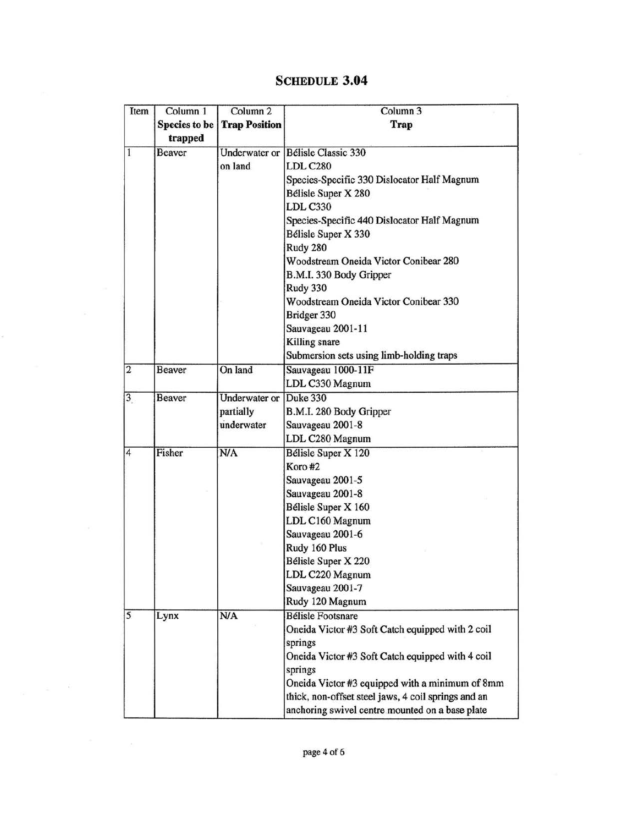## **SCHEDULE 3.04**

| Item                    | Column 1             | Column <sub>2</sub>  | Column <sub>3</sub>                                 |
|-------------------------|----------------------|----------------------|-----------------------------------------------------|
|                         | <b>Species</b> to be | <b>Trap Position</b> | Trap                                                |
|                         | trapped              |                      |                                                     |
| $\mathbf{1}$            | <b>Beaver</b>        | <b>Underwater</b> or | <b>Bélisle Classic 330</b>                          |
|                         |                      | on land              | <b>LDL C280</b>                                     |
|                         |                      |                      | Species-Specific 330 Dislocator Half Magnum         |
|                         |                      |                      | Bélisle Super X 280                                 |
|                         |                      |                      | <b>LDL C330</b>                                     |
|                         |                      |                      | Species-Specific 440 Dislocator Half Magnum         |
|                         |                      |                      | Bélisle Super X 330                                 |
|                         |                      |                      | Rudy 280                                            |
|                         |                      |                      | Woodstream Oneida Victor Conibear 280               |
|                         |                      |                      | B.M.I. 330 Body Gripper                             |
|                         |                      |                      | Rudy 330                                            |
|                         |                      |                      | Woodstream Oneida Victor Conibear 330               |
|                         |                      |                      | Bridger 330                                         |
|                         |                      |                      | Sauvageau 2001-11                                   |
|                         |                      |                      | Killing snare                                       |
|                         |                      |                      | Submersion sets using limb-holding traps            |
| $\overline{\mathbf{c}}$ | <b>Beaver</b>        | On land              | Sauvageau 1000-11F                                  |
|                         |                      |                      | LDL C330 Magnum                                     |
| $\overline{\mathbf{3}}$ | <b>Beaver</b>        | Underwater or        | Duke 330                                            |
|                         |                      | partially            | B.M.I. 280 Body Gripper                             |
|                         |                      | underwater           | Sauvageau 2001-8                                    |
|                         |                      |                      | LDL C280 Magnum                                     |
| $\overline{4}$          | Fisher               | N/A                  | Bélisle Super X 120                                 |
|                         |                      |                      | Koro #2                                             |
|                         |                      |                      | Sauvageau 2001-5                                    |
|                         |                      |                      | Sauvageau 2001-8                                    |
|                         |                      |                      | Bélisle Super X 160                                 |
|                         |                      |                      | LDL C160 Magnum                                     |
|                         |                      |                      | Sauvageau 2001-6                                    |
|                         |                      |                      | Rudy 160 Plus                                       |
|                         |                      |                      | Bélisle Super X 220                                 |
|                         |                      |                      | LDL C220 Magnum                                     |
|                         |                      |                      | Sauvageau 2001-7                                    |
|                         |                      |                      | Rudy 120 Magnum                                     |
| 5                       | Lynx                 | N/A                  | <b>Bélisle Footsnare</b>                            |
|                         |                      |                      | Oneida Victor #3 Soft Catch equipped with 2 coil    |
|                         |                      |                      | springs                                             |
|                         |                      |                      | Oneida Victor #3 Soft Catch equipped with 4 coil    |
|                         |                      |                      | springs                                             |
|                         |                      |                      | Oneida Victor #3 equipped with a minimum of 8mm     |
|                         |                      |                      | thick, non-offset steel jaws, 4 coil springs and an |
|                         |                      |                      | anchoring swivel centre mounted on a base plate     |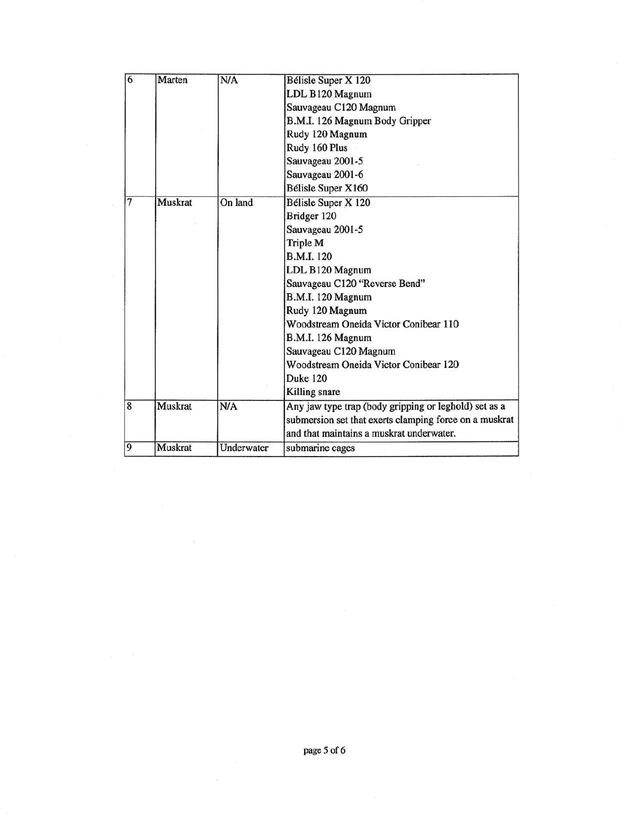| 6              | Marten         | N/A        | Bélisle Super X 120                                    |
|----------------|----------------|------------|--------------------------------------------------------|
|                |                |            | LDL B120 Magnum                                        |
|                |                |            | Sauvageau C120 Magnum                                  |
|                |                |            | B.M.I. 126 Magnum Body Gripper                         |
|                |                |            | Rudy 120 Magnum                                        |
|                |                |            | Rudy 160 Plus                                          |
|                |                |            | Sauvageau 2001-5                                       |
|                |                |            | Sauvageau 2001-6                                       |
|                |                |            | Bélisle Super X160                                     |
| 7              | <b>Muskrat</b> | On land    | <b>Bélisle Super X 120</b>                             |
|                |                |            | Bridger 120                                            |
|                |                |            | Sauvageau 2001-5                                       |
|                |                |            | Triple M                                               |
|                |                |            | <b>B.M.I.</b> 120                                      |
|                |                |            | LDL B120 Magnum                                        |
|                |                |            | Sauvageau C120 "Reverse Bend"                          |
|                |                |            | B.M.I. 120 Magnum                                      |
|                |                |            | Rudy 120 Magnum                                        |
|                |                |            | Woodstream Oneida Victor Conibear 110                  |
|                |                |            | <b>B.M.I. 126 Magnum</b>                               |
|                |                |            | Sauvageau C120 Magnum                                  |
|                |                |            | Woodstream Oneida Victor Conibear 120                  |
|                |                |            | Duke 120                                               |
|                |                |            | Killing snare                                          |
| $\overline{8}$ | Muskrat        | N/A        | Any jaw type trap (body gripping or leghold) set as a  |
|                |                |            | submersion set that exerts clamping force on a muskrat |
|                |                |            | and that maintains a muskrat underwater.               |
| $\overline{9}$ | Muskrat        | Underwater | submarine cages                                        |